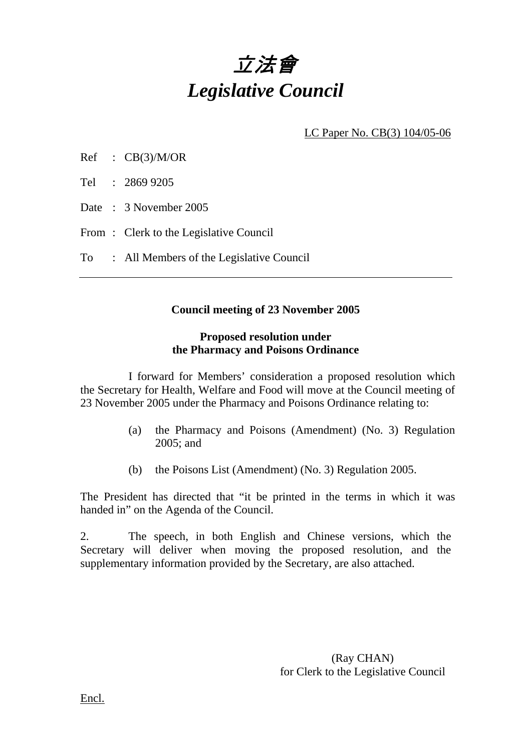# 立法會 *Legislative Council*

LC Paper No. CB(3) 104/05-06

Ref : CB(3)/M/OR

Tel : 2869 9205

Date : 3 November 2005

From: Clerk to the Legislative Council

To : All Members of the Legislative Council

#### **Council meeting of 23 November 2005**

#### **Proposed resolution under the Pharmacy and Poisons Ordinance**

 I forward for Members' consideration a proposed resolution which the Secretary for Health, Welfare and Food will move at the Council meeting of 23 November 2005 under the Pharmacy and Poisons Ordinance relating to:

- (a) the Pharmacy and Poisons (Amendment) (No. 3) Regulation 2005; and
- (b) the Poisons List (Amendment) (No. 3) Regulation 2005.

The President has directed that "it be printed in the terms in which it was handed in" on the Agenda of the Council.

2. The speech, in both English and Chinese versions, which the Secretary will deliver when moving the proposed resolution, and the supplementary information provided by the Secretary, are also attached.

> (Ray CHAN) for Clerk to the Legislative Council

Encl.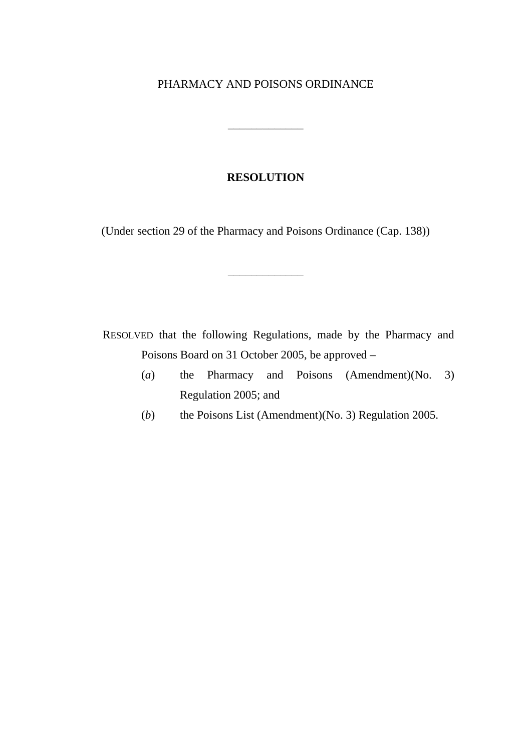#### PHARMACY AND POISONS ORDINANCE

\_\_\_\_\_\_\_\_\_\_\_\_\_

#### **RESOLUTION**

(Under section 29 of the Pharmacy and Poisons Ordinance (Cap. 138))

\_\_\_\_\_\_\_\_\_\_\_\_\_

RESOLVED that the following Regulations, made by the Pharmacy and Poisons Board on 31 October 2005, be approved –

- (*a*) the Pharmacy and Poisons (Amendment)(No. 3) Regulation 2005; and
- (*b*) the Poisons List (Amendment)(No. 3) Regulation 2005.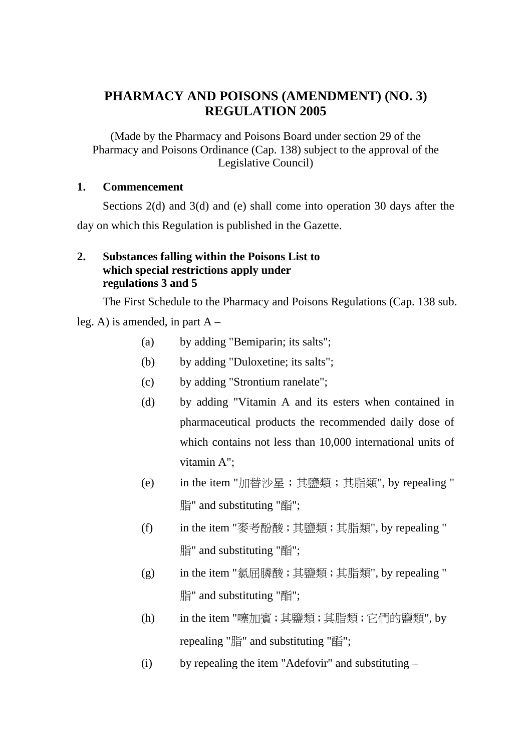## **PHARMACY AND POISONS (AMENDMENT) (NO. 3) REGULATION 2005**

(Made by the Pharmacy and Poisons Board under section 29 of the Pharmacy and Poisons Ordinance (Cap. 138) subject to the approval of the Legislative Council)

#### **1. Commencement**

Sections 2(d) and 3(d) and (e) shall come into operation 30 days after the day on which this Regulation is published in the Gazette.

#### **2. Substances falling within the Poisons List to which special restrictions apply under regulations 3 and 5**

The First Schedule to the Pharmacy and Poisons Regulations (Cap. 138 sub.

leg. A) is amended, in part A –

- (a) by adding "Bemiparin; its salts";
- (b) by adding "Duloxetine; its salts";
- (c) by adding "Strontium ranelate";
- (d) by adding "Vitamin A and its esters when contained in pharmaceutical products the recommended daily dose of which contains not less than 10,000 international units of vitamin A";
- (e) in the item "加替沙星;其鹽類;其脂類", by repealing " 脂" and substituting "酯";
- (f) in the item "麥考酚酸;其鹽類;其脂類", by repealing " 脂" and substituting "酯";
- (g) in the item "氯屈膦酸;其鹽類;其脂類", by repealing " 脂" and substituting "酯";
- (h) in the item "噻加賓;其鹽類;其脂類;它們的鹽類", by repealing "脂" and substituting "酯";
- (i) by repealing the item "Adefovir" and substituting –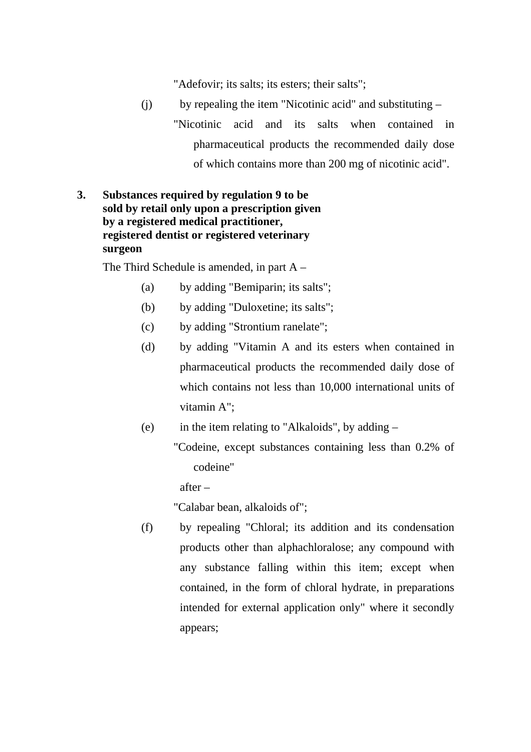"Adefovir; its salts; its esters; their salts";

- (j) by repealing the item "Nicotinic acid" and substituting "Nicotinic acid and its salts when contained in pharmaceutical products the recommended daily dose of which contains more than 200 mg of nicotinic acid".
- **3. Substances required by regulation 9 to be sold by retail only upon a prescription given by a registered medical practitioner, registered dentist or registered veterinary surgeon**

The Third Schedule is amended, in part A –

- (a) by adding "Bemiparin; its salts";
- (b) by adding "Duloxetine; its salts";
- (c) by adding "Strontium ranelate";
- (d) by adding "Vitamin A and its esters when contained in pharmaceutical products the recommended daily dose of which contains not less than 10,000 international units of vitamin A";
- (e) in the item relating to "Alkaloids", by adding
	- "Codeine, except substances containing less than 0.2% of codeine"

after –

"Calabar bean, alkaloids of";

(f) by repealing "Chloral; its addition and its condensation products other than alphachloralose; any compound with any substance falling within this item; except when contained, in the form of chloral hydrate, in preparations intended for external application only" where it secondly appears;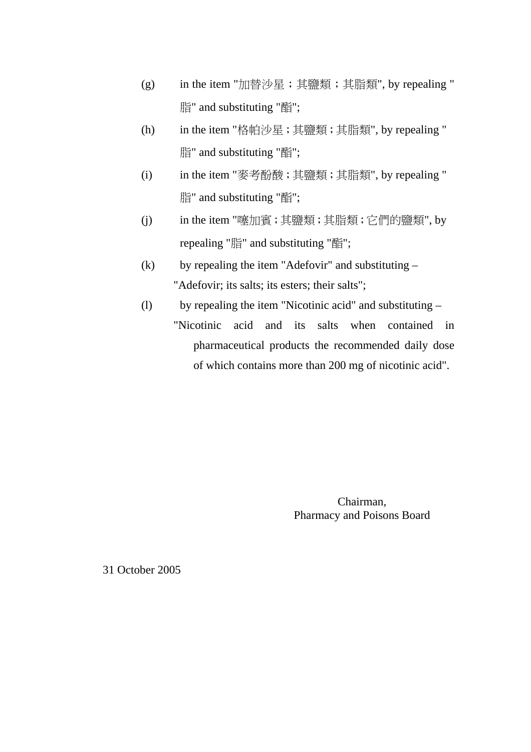- (g) in the item "加替沙星;其鹽類;其脂類", by repealing " 脂" and substituting "酯";
- (h) in the item "格帕沙星;其鹽類;其脂類", by repealing " 脂" and substituting "酯";
- (i) in the item "麥考酚酸;其鹽類;其脂類", by repealing " 脂" and substituting "酯";
- (j) in the item "噻加賓;其鹽類;其脂類;它們的鹽類", by repealing "脂" and substituting "酯";
- (k) by repealing the item "Adefovir" and substituting "Adefovir; its salts; its esters; their salts";
- (l) by repealing the item "Nicotinic acid" and substituting "Nicotinic acid and its salts when contained in pharmaceutical products the recommended daily dose of which contains more than 200 mg of nicotinic acid".

Chairman, Pharmacy and Poisons Board

31 October 2005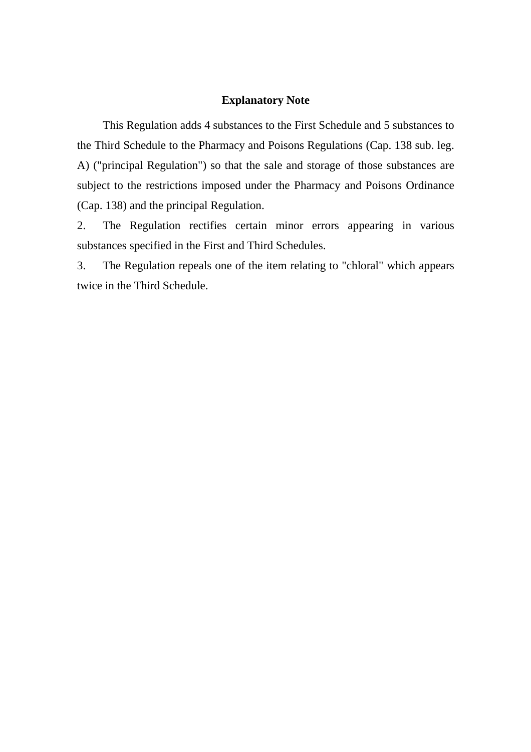#### **Explanatory Note**

This Regulation adds 4 substances to the First Schedule and 5 substances to the Third Schedule to the Pharmacy and Poisons Regulations (Cap. 138 sub. leg. A) ("principal Regulation") so that the sale and storage of those substances are subject to the restrictions imposed under the Pharmacy and Poisons Ordinance (Cap. 138) and the principal Regulation.

2. The Regulation rectifies certain minor errors appearing in various substances specified in the First and Third Schedules.

3. The Regulation repeals one of the item relating to "chloral" which appears twice in the Third Schedule.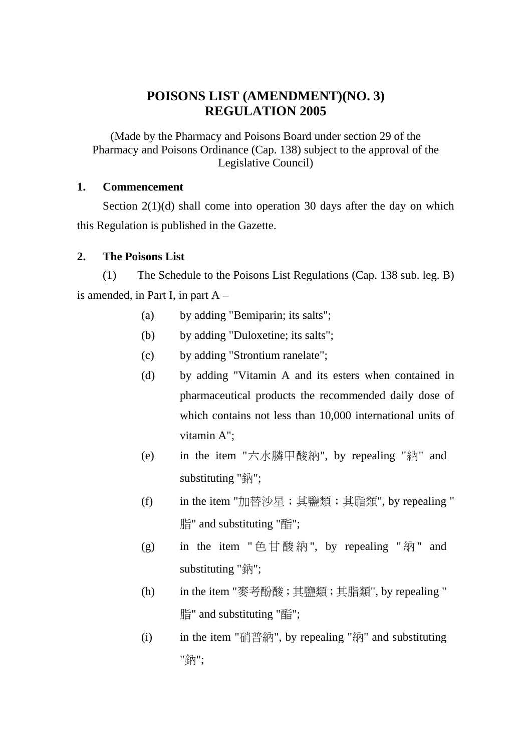## **POISONS LIST (AMENDMENT)(NO. 3) REGULATION 2005**

(Made by the Pharmacy and Poisons Board under section 29 of the Pharmacy and Poisons Ordinance (Cap. 138) subject to the approval of the Legislative Council)

#### **1. Commencement**

Section 2(1)(d) shall come into operation 30 days after the day on which this Regulation is published in the Gazette.

#### **2. The Poisons List**

(1) The Schedule to the Poisons List Regulations (Cap. 138 sub. leg. B) is amended, in Part I, in part  $A -$ 

- (a) by adding "Bemiparin; its salts";
- (b) by adding "Duloxetine; its salts";
- (c) by adding "Strontium ranelate";
- (d) by adding "Vitamin A and its esters when contained in pharmaceutical products the recommended daily dose of which contains not less than 10,000 international units of vitamin A";
- (e) in the item "六水膦甲酸納", by repealing "納" and substituting "鈉";
- (f) in the item "加替沙星;其鹽類;其脂類", by repealing " 脂" and substituting "酯";
- (g) in the item " 色甘酸納", by repealing " 納" and substituting "鈉";
- (h) in the item "麥考酚酸;其鹽類;其脂類", by repealing " 脂" and substituting "酯";
- (i) in the item "硝普納", by repealing "納" and substituting "鈉";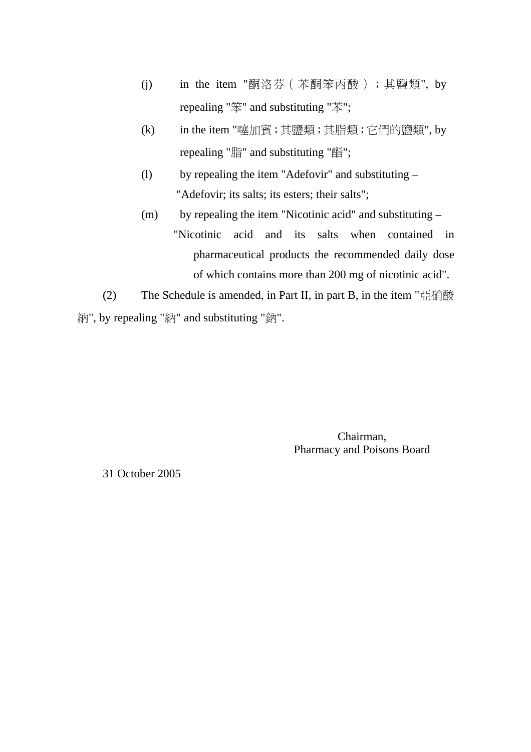- (j) in the item "酮洛芬(苯酮笨丙酸);其鹽類", by repealing "笨" and substituting "苯";
- (k) in the item "噻加賓;其鹽類;其脂類;它們的鹽類", by repealing "脂" and substituting "酯";
- (l) by repealing the item "Adefovir" and substituting "Adefovir; its salts; its esters; their salts";
- (m) by repealing the item "Nicotinic acid" and substituting "Nicotinic acid and its salts when contained in pharmaceutical products the recommended daily dose of which contains more than 200 mg of nicotinic acid".
- (2) The Schedule is amended, in Part II, in part B, in the item " $\mathbb{Z}$  if  $\mathbb{R}$ 納", by repealing "納" and substituting "鈉".

Chairman, Pharmacy and Poisons Board

31 October 2005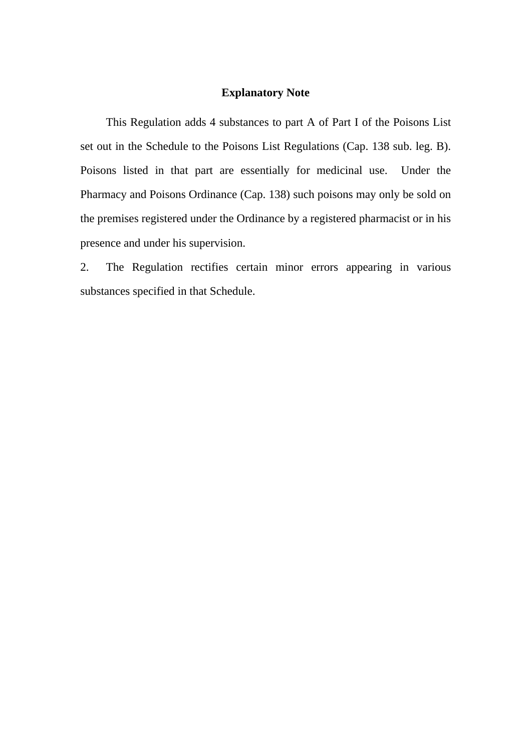#### **Explanatory Note**

This Regulation adds 4 substances to part A of Part I of the Poisons List set out in the Schedule to the Poisons List Regulations (Cap. 138 sub. leg. B). Poisons listed in that part are essentially for medicinal use. Under the Pharmacy and Poisons Ordinance (Cap. 138) such poisons may only be sold on the premises registered under the Ordinance by a registered pharmacist or in his presence and under his supervision.

2. The Regulation rectifies certain minor errors appearing in various substances specified in that Schedule.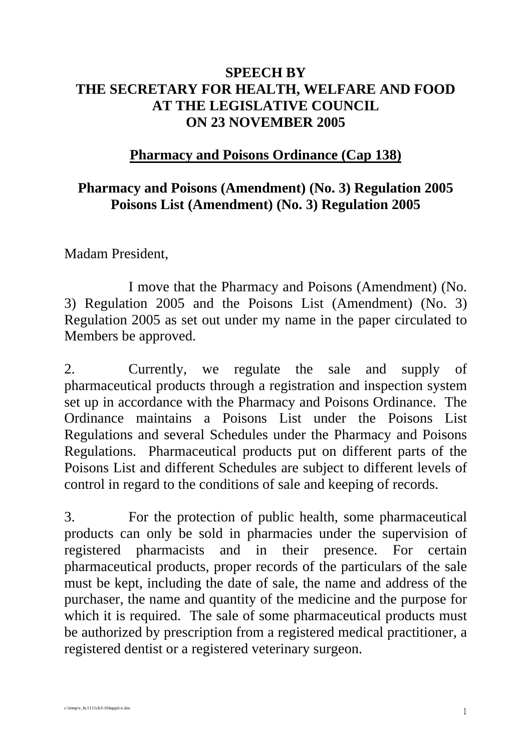# **SPEECH BY THE SECRETARY FOR HEALTH, WELFARE AND FOOD AT THE LEGISLATIVE COUNCIL ON 23 NOVEMBER 2005**

# **Pharmacy and Poisons Ordinance (Cap 138)**

# **Pharmacy and Poisons (Amendment) (No. 3) Regulation 2005 Poisons List (Amendment) (No. 3) Regulation 2005**

Madam President,

 I move that the Pharmacy and Poisons (Amendment) (No. 3) Regulation 2005 and the Poisons List (Amendment) (No. 3) Regulation 2005 as set out under my name in the paper circulated to Members be approved.

2. Currently, we regulate the sale and supply of pharmaceutical products through a registration and inspection system set up in accordance with the Pharmacy and Poisons Ordinance. The Ordinance maintains a Poisons List under the Poisons List Regulations and several Schedules under the Pharmacy and Poisons Regulations. Pharmaceutical products put on different parts of the Poisons List and different Schedules are subject to different levels of control in regard to the conditions of sale and keeping of records.

3. For the protection of public health, some pharmaceutical products can only be sold in pharmacies under the supervision of registered pharmacists and in their presence. For certain pharmaceutical products, proper records of the particulars of the sale must be kept, including the date of sale, the name and address of the purchaser, the name and quantity of the medicine and the purpose for which it is required. The sale of some pharmaceutical products must be authorized by prescription from a registered medical practitioner, a registered dentist or a registered veterinary surgeon.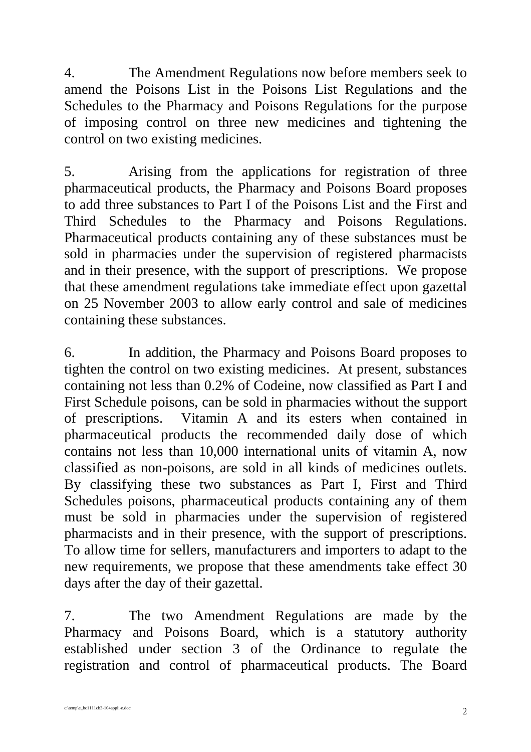4. The Amendment Regulations now before members seek to amend the Poisons List in the Poisons List Regulations and the Schedules to the Pharmacy and Poisons Regulations for the purpose of imposing control on three new medicines and tightening the control on two existing medicines.

5. Arising from the applications for registration of three pharmaceutical products, the Pharmacy and Poisons Board proposes to add three substances to Part I of the Poisons List and the First and Third Schedules to the Pharmacy and Poisons Regulations. Pharmaceutical products containing any of these substances must be sold in pharmacies under the supervision of registered pharmacists and in their presence, with the support of prescriptions. We propose that these amendment regulations take immediate effect upon gazettal on 25 November 2003 to allow early control and sale of medicines containing these substances.

6. In addition, the Pharmacy and Poisons Board proposes to tighten the control on two existing medicines. At present, substances containing not less than 0.2% of Codeine, now classified as Part I and First Schedule poisons, can be sold in pharmacies without the support of prescriptions. Vitamin A and its esters when contained in pharmaceutical products the recommended daily dose of which contains not less than 10,000 international units of vitamin A, now classified as non-poisons, are sold in all kinds of medicines outlets. By classifying these two substances as Part I, First and Third Schedules poisons, pharmaceutical products containing any of them must be sold in pharmacies under the supervision of registered pharmacists and in their presence, with the support of prescriptions. To allow time for sellers, manufacturers and importers to adapt to the new requirements, we propose that these amendments take effect 30 days after the day of their gazettal.

7. The two Amendment Regulations are made by the Pharmacy and Poisons Board, which is a statutory authority established under section 3 of the Ordinance to regulate the registration and control of pharmaceutical products. The Board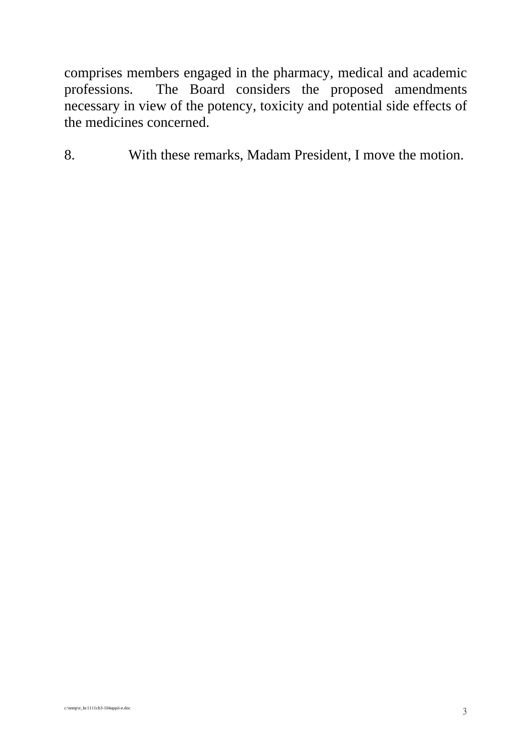comprises members engaged in the pharmacy, medical and academic<br>professions. The Board considers the proposed amendments The Board considers the proposed amendments necessary in view of the potency, toxicity and potential side effects of the medicines concerned.

8. With these remarks, Madam President, I move the motion.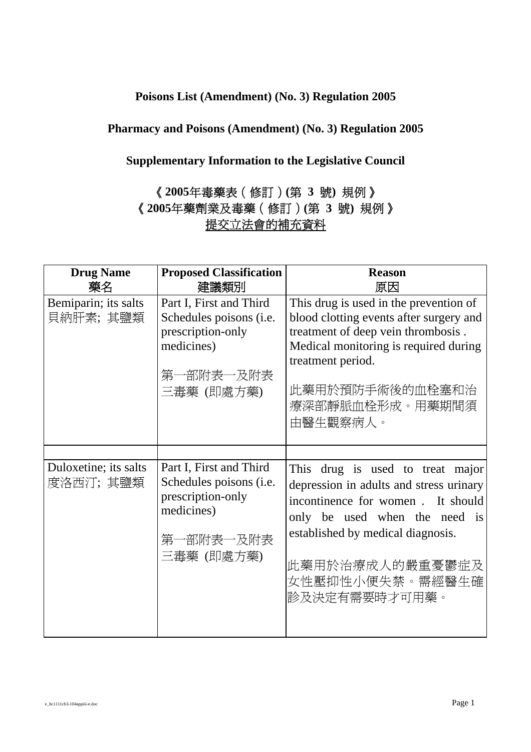### **Poisons List (Amendment) (No. 3) Regulation 2005**

## **Pharmacy and Poisons (Amendment) (No. 3) Regulation 2005**

## **Supplementary Information to the Legislative Council**

# 《**2005**年毒藥表(修訂)**(**第 **3** 號**)** 規例》 《**2005**年藥劑業及毒藥(修訂)**(**第 **3** 號**)** 規例》 提交立法會的補充資料

| <b>Drug Name</b><br>藥名            | <b>Proposed Classification</b><br>建議類別                                                                                   | <b>Reason</b><br>原因                                                                                                                                                                                                                           |
|-----------------------------------|--------------------------------------------------------------------------------------------------------------------------|-----------------------------------------------------------------------------------------------------------------------------------------------------------------------------------------------------------------------------------------------|
| Bemiparin; its salts<br>貝納肝素;其鹽類  | Part I, First and Third<br>Schedules poisons (i.e.<br>prescription-only<br>medicines)<br>第一部附表一及附表<br>三毒藥 (即處方藥)         | This drug is used in the prevention of<br>blood clotting events after surgery and<br>treatment of deep vein thrombosis.<br>Medical monitoring is required during<br>treatment period.<br>此藥用於預防手術後的血栓塞和治<br>療深部靜脈血栓形成。用藥期間須<br>由醫生觀察病人。       |
|                                   |                                                                                                                          |                                                                                                                                                                                                                                               |
| Duloxetine; its salts<br>度洛西汀;其鹽類 | Part I, First and Third<br>Schedules poisons ( <i>i.e.</i><br>prescription-only<br>medicines)<br>第一部附表一及附表<br>三毒藥 (即處方藥) | This drug is used to treat major<br>depression in adults and stress urinary<br>incontinence for women. It should<br>only be used when the need is<br>established by medical diagnosis.<br>此藥用於治療成人的嚴重憂鬱症及<br>女性壓抑性小便失禁。需經醫生確<br>診及決定有需要時才可用藥。 |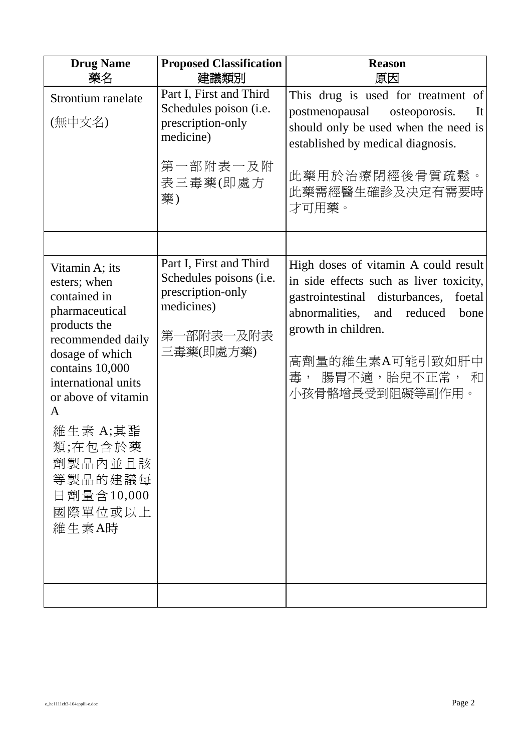| <b>Drug Name</b><br>藥名                                                                                                                                                                                                                                                        | <b>Proposed Classification</b><br>建議類別                                                                            | <b>Reason</b><br>原因                                                                                                                                                                                                                                            |
|-------------------------------------------------------------------------------------------------------------------------------------------------------------------------------------------------------------------------------------------------------------------------------|-------------------------------------------------------------------------------------------------------------------|----------------------------------------------------------------------------------------------------------------------------------------------------------------------------------------------------------------------------------------------------------------|
| Strontium ranelate<br>(無中文名)                                                                                                                                                                                                                                                  | Part I, First and Third<br>Schedules poison (i.e.<br>prescription-only<br>medicine)<br>第一部附表一及附<br>表三毒藥(即處方<br>藥) | This drug is used for treatment of<br>postmenopausal osteoporosis.<br>It<br>should only be used when the need is<br>established by medical diagnosis.<br>此藥用於治療閉經後骨質疏鬆。<br>此藥需經醫生確診及决定有需要時<br>才可用藥。                                                            |
|                                                                                                                                                                                                                                                                               |                                                                                                                   |                                                                                                                                                                                                                                                                |
| Vitamin A; its<br>esters; when<br>contained in<br>pharmaceutical<br>products the<br>recommended daily<br>dosage of which<br>contains 10,000<br>international units<br>or above of vitamin<br>A<br>維生素 A;其酯<br>類;在包含於藥<br>劑製品內並且該<br>等製品的建議每<br>日劑量含10,000<br>國際單位或以上<br>維生素A時 | Part I, First and Third<br>Schedules poisons (i.e.<br>prescription-only<br>medicines)<br>第一部附表一及附表<br>三毒藥(即處方藥)   | High doses of vitamin A could result<br>in side effects such as liver toxicity,<br>gastrointestinal disturbances,<br>foetal<br>abnormalities,<br>reduced<br>and<br>bone<br>growth in children.<br>高劑量的維生素A可能引致如肝中<br>腸胃不適,胎兒不正常,<br>毒,<br>和<br>小孩骨骼增長受到阻礙等副作用。 |
|                                                                                                                                                                                                                                                                               |                                                                                                                   |                                                                                                                                                                                                                                                                |